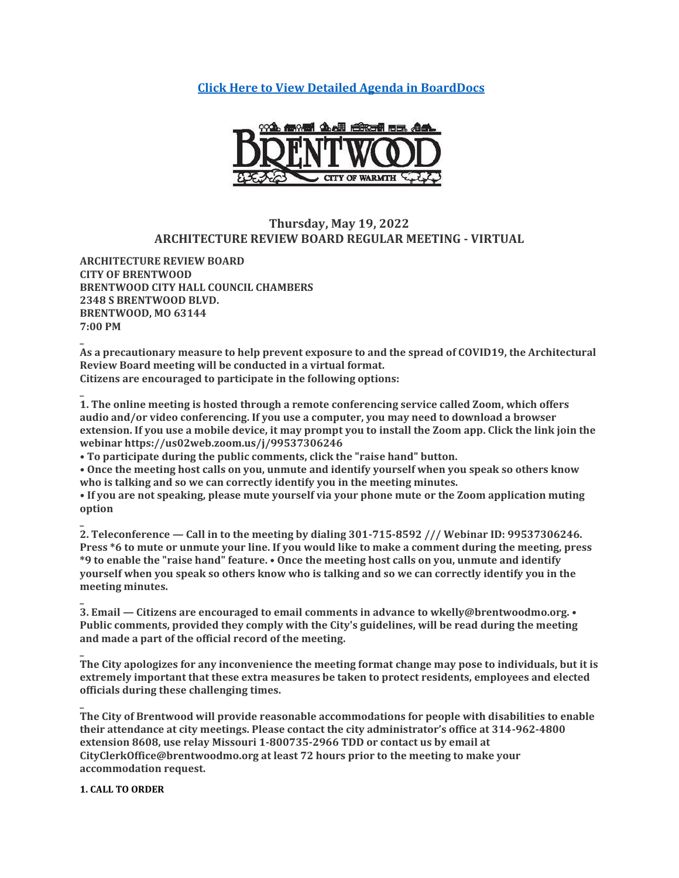**[Click Here to View Detailed Agenda in BoardDocs](http://go.boarddocs.com/mo/cob/Board.nsf/goto?open&id=CBVNCU5F54F8)**



# **Thursday, May 19, 2022 ARCHITECTURE REVIEW BOARD REGULAR MEETING - VIRTUAL**

**ARCHITECTURE REVIEW BOARD CITY OF BRENTWOOD BRENTWOOD CITY HALL COUNCIL CHAMBERS 2348 S BRENTWOOD BLVD. BRENTWOOD, MO 63144 7:00 PM**

**\_ As a precautionary measure to help prevent exposure to and the spread of COVID19, the Architectural Review Board meeting will be conducted in a virtual format. Citizens are encouraged to participate in the following options:**

**\_ 1. The online meeting is hosted through a remote conferencing service called Zoom, which offers audio and/or video conferencing. If you use a computer, you may need to download a browser extension. If you use a mobile device, it may prompt you to install the Zoom app. Click the link join the webinar https://us02web.zoom.us/j/99537306246**

**• To participate during the public comments, click the "raise hand" button.**

**• Once the meeting host calls on you, unmute and identify yourself when you speak so others know who is talking and so we can correctly identify you in the meeting minutes.**

**• If you are not speaking, please mute yourself via your phone mute or the Zoom application muting option**

**2. Teleconference — Call in to the meeting by dialing 301-715-8592 /// Webinar ID: 99537306246. Press \*6 to mute or unmute your line. If you would like to make a comment during the meeting, press \*9 to enable the "raise hand" feature. • Once the meeting host calls on you, unmute and identify yourself when you speak so others know who is talking and so we can correctly identify you in the meeting minutes.**

**3. Email — Citizens are encouraged to email comments in advance to wkelly@brentwoodmo.org. • Public comments, provided they comply with the City's guidelines, will be read during the meeting and made a part of the official record of the meeting.**

**The City apologizes for any inconvenience the meeting format change may pose to individuals, but it is extremely important that these extra measures be taken to protect residents, employees and elected officials during these challenging times.**

**The City of Brentwood will provide reasonable accommodations for people with disabilities to enable their attendance at city meetings. Please contact the city administrator's office at 314-962-4800 extension 8608, use relay Missouri 1-800735-2966 TDD or contact us by email at CityClerkOffice@brentwoodmo.org at least 72 hours prior to the meeting to make your accommodation request.**

### **1. CALL TO ORDER**

**\_**

**\_**

**\_**

**\_**